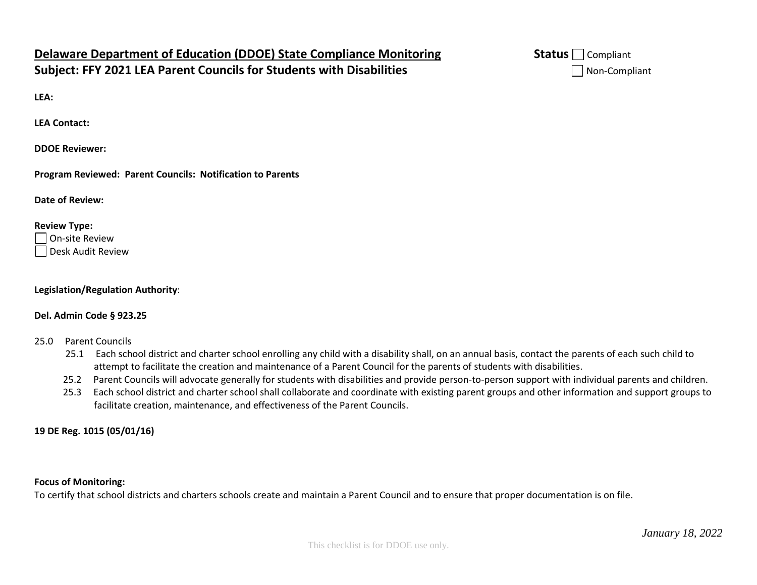# **Delaware Department of Education (DDOE) State Compliance Monitoring Status ■ Status** Compliant **Subject: FFY 2021 LEA Parent Councils for Students with Disabilities** Non-Compliant

**LEA:** 

**LEA Contact:**

**DDOE Reviewer:** 

**Program Reviewed: Parent Councils: Notification to Parents**

**Date of Review:** 

#### **Review Type:**

On-site Review Desk Audit Review

#### **Legislation/Regulation Authority**:

### **Del. Admin Code § 923.25**

- 25.0 Parent Councils
	- 25.1 Each school district and charter school enrolling any child with a disability shall, on an annual basis, contact the parents of each such child to attempt to facilitate the creation and maintenance of a Parent Council for the parents of students with disabilities.
	- 25.2 Parent Councils will advocate generally for students with disabilities and provide person-to-person support with individual parents and children.
	- 25.3 Each school district and charter school shall collaborate and coordinate with existing parent groups and other information and support groups to facilitate creation, maintenance, and effectiveness of the Parent Councils.

## **19 DE Reg. 1015 (05/01/16)**

#### **Focus of Monitoring:**

To certify that school districts and charters schools create and maintain a Parent Council and to ensure that proper documentation is on file.